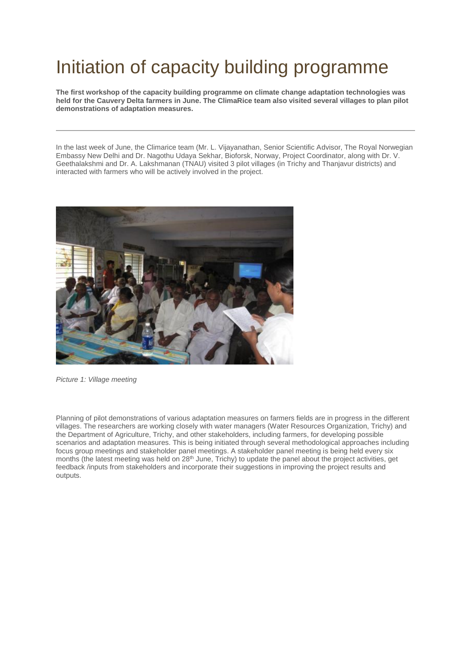## Initiation of capacity building programme

**The first workshop of the capacity building programme on climate change adaptation technologies was held for the Cauvery Delta farmers in June. The ClimaRice team also visited several villages to plan pilot demonstrations of adaptation measures.**

In the last week of June, the Climarice team (Mr. L. Vijayanathan, Senior Scientific Advisor, The Royal Norwegian Embassy New Delhi and Dr. Nagothu Udaya Sekhar, Bioforsk, Norway, Project Coordinator, along with Dr. V. Geethalakshmi and Dr. A. Lakshmanan (TNAU) visited 3 pilot villages (in Trichy and Thanjavur districts) and interacted with farmers who will be actively involved in the project.



*Picture 1: Village meeting*

Planning of pilot demonstrations of various adaptation measures on farmers fields are in progress in the different villages. The researchers are working closely with water managers (Water Resources Organization, Trichy) and the Department of Agriculture, Trichy, and other stakeholders, including farmers, for developing possible scenarios and adaptation measures. This is being initiated through several methodological approaches including focus group meetings and stakeholder panel meetings. A stakeholder panel meeting is being held every six months (the latest meeting was held on 28<sup>th</sup> June, Trichy) to update the panel about the project activities, get feedback /inputs from stakeholders and incorporate their suggestions in improving the project results and outputs.